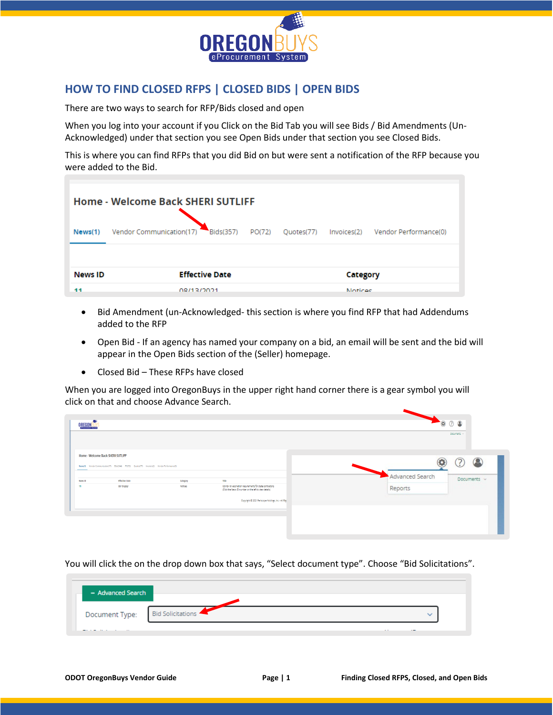

## **HOW TO FIND CLOSED RFPS | CLOSED BIDS | OPEN BIDS**

There are two ways to search for RFP/Bids closed and open

When you log into your account if you Click on the Bid Tab you will see Bids / Bid Amendments (Un-Acknowledged) under that section you see Open Bids under that section you see Closed Bids.

This is where you can find RFPs that you did Bid on but were sent a notification of the RFP because you were added to the Bid.

| Home - Welcome Back SHERI SUTLIFF |                                       |        |            |                            |                       |  |  |
|-----------------------------------|---------------------------------------|--------|------------|----------------------------|-----------------------|--|--|
| News(1)                           | Vendor Communication(17)<br>Bids(357) | PO(72) | Quotes(77) | Invoices(2)                | Vendor Performance(0) |  |  |
| <b>News ID</b><br>44              | <b>Effective Date</b><br>08/12/2021   |        |            | Category<br><b>Notices</b> |                       |  |  |

- Bid Amendment (un-Acknowledged- this section is where you find RFP that had Addendums added to the RFP
- Open Bid If an agency has named your company on a bid, an email will be sent and the bid will appear in the Open Bids section of the (Seller) homepage.
- Closed Bid These RFPs have closed

When you are logged into OregonBuys in the upper right hand corner there is a gear symbol you will click on that and choose Advance Search.

| <b>OREGO</b>  |                                                                                                                                     |                     |                                                                                                                            | 000                        | Documents - |
|---------------|-------------------------------------------------------------------------------------------------------------------------------------|---------------------|----------------------------------------------------------------------------------------------------------------------------|----------------------------|-------------|
|               | Home - Welcome Back SHERI SUTLIFF<br>News(1) Vendor Communication(17) Bids(344) PO(72) Quotes(77) Invoices(2) Vendor Performance(0) |                     |                                                                                                                            |                            |             |
| News ID<br>11 | <b>Effective Date</b><br>08/13/2021                                                                                                 | Category<br>Notices | Title<br>COVID-19 vaccination requirements for state contractors<br>(Click the News ID number on the left to view details) | Advanced Search<br>Reports | Documents v |
|               |                                                                                                                                     |                     | Copyright @ 2021 Periscope Holdings, Inc. - All Rigi                                                                       |                            |             |

You will click the on the drop down box that says, "Select document type". Choose "Bid Solicitations".

| - Advanced Search |                          |              |
|-------------------|--------------------------|--------------|
| Document Type:    | <b>Bid Solicitations</b> | $\checkmark$ |
| ________          |                          | . .          |